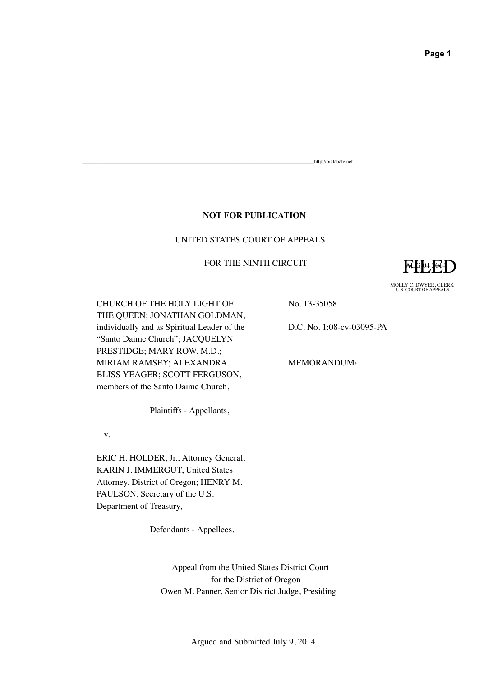## **NOT FOR PUBLICATION**

## UNITED STATES COURT OF APPEALS

## FOR THE NINTH CIRCUIT

 $AU$  $P$ <sup>4</sup> $4$  $Q$ 

MOLLY C. DWYER, CLERK U.S. COURT OF APPEALS

CHURCH OF THE HOLY LIGHT OF THE QUEEN; JONATHAN GOLDMAN, individually and as Spiritual Leader of the "Santo Daime Church"; JACQUELYN PRESTIDGE; MARY ROW, M.D.; MIRIAM RAMSEY; ALEXANDRA BLISS YEAGER; SCOTT FERGUSON, members of the Santo Daime Church,

Plaintiffs - Appellants,

v.

ERIC H. HOLDER, Jr., Attorney General; KARIN J. IMMERGUT, United States Attorney, District of Oregon; HENRY M. PAULSON, Secretary of the U.S. Department of Treasury,

Defendants - Appellees.

Appeal from the United States District Court for the District of Oregon Owen M. Panner, Senior District Judge, Presiding

No. 13-35058

D.C. No. 1:08-cv-03095-PA

\_\_\_\_\_\_\_\_\_\_\_\_\_\_\_\_\_\_\_\_\_\_\_\_\_\_\_\_\_\_\_\_\_\_\_\_\_\_\_\_\_\_\_\_\_\_\_\_\_\_\_\_\_\_\_\_\_\_\_\_\_\_\_\_\_\_\_\_\_\_\_\_\_\_\_\_\_\_\_\_\_\_\_\_\_\_\_\_\_\_http://bialabate.net

MEMORANDUM\*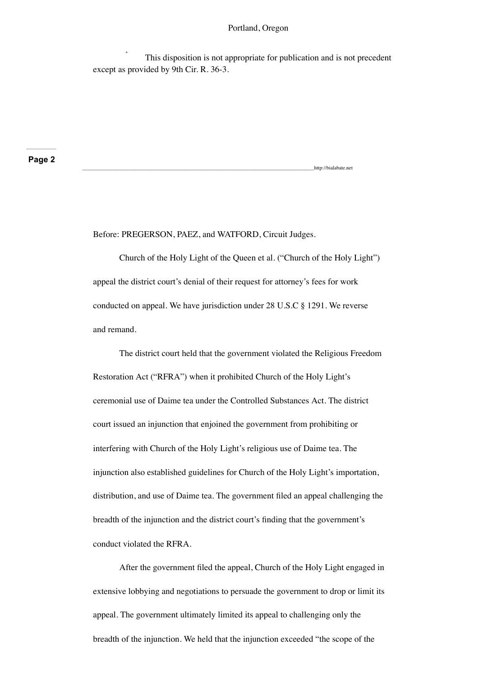#### Portland, Oregon

http://bialabate.net

This disposition is not appropriate for publication and is not precedent except as provided by 9th Cir. R. 36-3.

**Page 2**

Before: PREGERSON, PAEZ, and WATFORD, Circuit Judges.

Church of the Holy Light of the Queen et al. ("Church of the Holy Light") appeal the district court's denial of their request for attorney's fees for work conducted on appeal. We have jurisdiction under 28 U.S.C § 1291. We reverse and remand.

The district court held that the government violated the Religious Freedom Restoration Act ("RFRA") when it prohibited Church of the Holy Light's ceremonial use of Daime tea under the Controlled Substances Act. The district court issued an injunction that enjoined the government from prohibiting or interfering with Church of the Holy Light's religious use of Daime tea. The injunction also established guidelines for Church of the Holy Light's importation, distribution, and use of Daime tea. The government filed an appeal challenging the breadth of the injunction and the district court's finding that the government's conduct violated the RFRA.

After the government filed the appeal, Church of the Holy Light engaged in extensive lobbying and negotiations to persuade the government to drop or limit its appeal. The government ultimately limited its appeal to challenging only the breadth of the injunction. We held that the injunction exceeded "the scope of the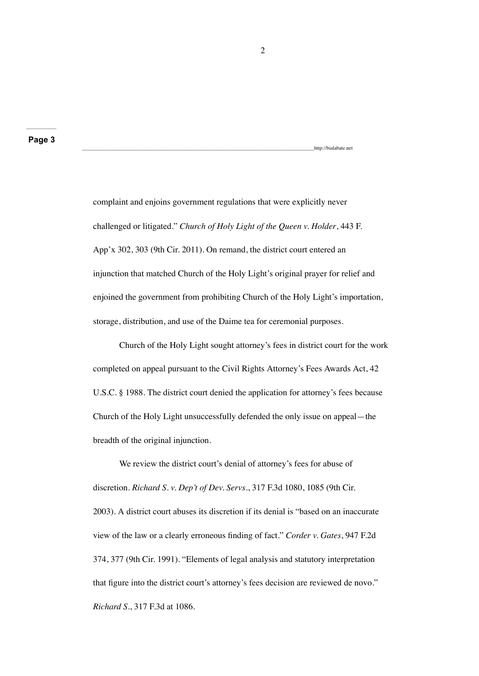complaint and enjoins government regulations that were explicitly never challenged or litigated." *Church of Holy Light of the Queen v. Holder*, 443 F. App'x 302, 303 (9th Cir. 2011). On remand, the district court entered an injunction that matched Church of the Holy Light's original prayer for relief and enjoined the government from prohibiting Church of the Holy Light's importation, storage, distribution, and use of the Daime tea for ceremonial purposes.

Church of the Holy Light sought attorney's fees in district court for the work completed on appeal pursuant to the Civil Rights Attorney's Fees Awards Act, 42 U.S.C. § 1988. The district court denied the application for attorney's fees because Church of the Holy Light unsuccessfully defended the only issue on appeal—the breadth of the original injunction.

We review the district court's denial of attorney's fees for abuse of discretion. *Richard S. v. Dep't of Dev. Servs.*, 317 F.3d 1080, 1085 (9th Cir. 2003). A district court abuses its discretion if its denial is "based on an inaccurate view of the law or a clearly erroneous finding of fact." *Corder v. Gates*, 947 F.2d 374, 377 (9th Cir. 1991). "Elements of legal analysis and statutory interpretation that figure into the district court's attorney's fees decision are reviewed de novo." *Richard S.*, 317 F.3d at 1086.

http://bialabate.net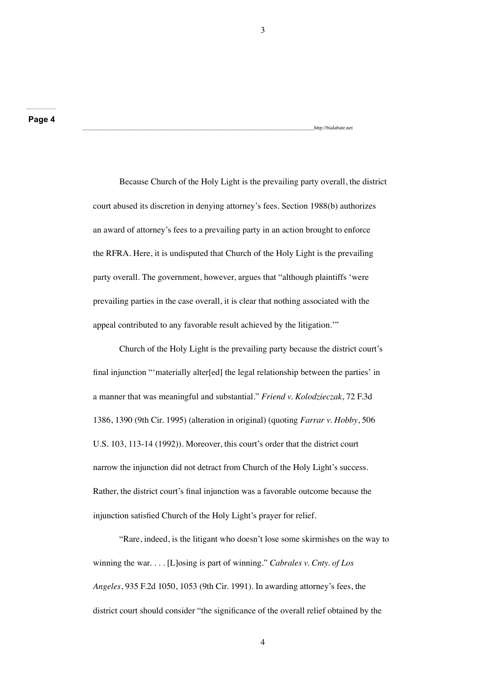Because Church of the Holy Light is the prevailing party overall, the district court abused its discretion in denying attorney's fees. Section 1988(b) authorizes an award of attorney's fees to a prevailing party in an action brought to enforce the RFRA. Here, it is undisputed that Church of the Holy Light is the prevailing party overall. The government, however, argues that "although plaintiffs 'were prevailing parties in the case overall, it is clear that nothing associated with the appeal contributed to any favorable result achieved by the litigation.'"

Church of the Holy Light is the prevailing party because the district court's final injunction "'materially alter[ed] the legal relationship between the parties' in a manner that was meaningful and substantial." *Friend v. Kolodzieczak*, 72 F.3d 1386, 1390 (9th Cir. 1995) (alteration in original) (quoting *Farrar v. Hobby*, 506 U.S. 103, 113-14 (1992)). Moreover, this court's order that the district court narrow the injunction did not detract from Church of the Holy Light's success. Rather, the district court's final injunction was a favorable outcome because the injunction satisfied Church of the Holy Light's prayer for relief.

"Rare, indeed, is the litigant who doesn't lose some skirmishes on the way to winning the war. . . . [L]osing is part of winning." *Cabrales v. Cnty. of Los Angeles*, 935 F.2d 1050, 1053 (9th Cir. 1991). In awarding attorney's fees, the district court should consider "the significance of the overall relief obtained by the

3

http://bialabate.net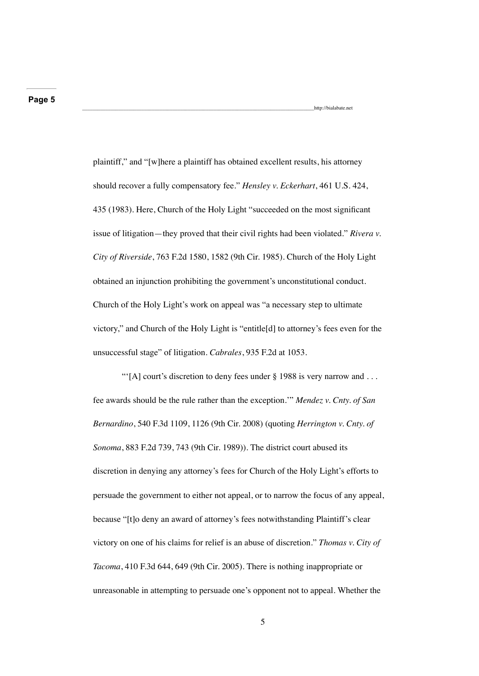plaintiff," and "[w]here a plaintiff has obtained excellent results, his attorney should recover a fully compensatory fee." *Hensley v. Eckerhart*, 461 U.S. 424, 435 (1983). Here, Church of the Holy Light "succeeded on the most significant issue of litigation—they proved that their civil rights had been violated." *Rivera v. City of Riverside*, 763 F.2d 1580, 1582 (9th Cir. 1985). Church of the Holy Light obtained an injunction prohibiting the government's unconstitutional conduct. Church of the Holy Light's work on appeal was "a necessary step to ultimate victory," and Church of the Holy Light is "entitle[d] to attorney's fees even for the unsuccessful stage" of litigation. *Cabrales*, 935 F.2d at 1053.

\_\_\_\_\_\_\_\_\_\_\_\_\_\_\_\_\_\_\_\_\_\_\_\_\_\_\_\_\_\_\_\_\_\_\_\_\_\_\_\_\_\_\_\_\_\_\_\_\_\_\_\_\_\_\_\_\_\_\_\_\_\_\_\_\_\_\_\_\_\_\_\_\_\_\_\_\_\_\_\_\_\_\_\_\_\_\_\_\_\_http://bialabate.net

"'[A] court's discretion to deny fees under  $\S$  1988 is very narrow and ... fee awards should be the rule rather than the exception.'" *Mendez v. Cnty. of San Bernardino*, 540 F.3d 1109, 1126 (9th Cir. 2008) (quoting *Herrington v. Cnty. of Sonoma*, 883 F.2d 739, 743 (9th Cir. 1989)). The district court abused its discretion in denying any attorney's fees for Church of the Holy Light's efforts to persuade the government to either not appeal, or to narrow the focus of any appeal, because "[t]o deny an award of attorney's fees notwithstanding Plaintiff's clear victory on one of his claims for relief is an abuse of discretion." *Thomas v. City of Tacoma*, 410 F.3d 644, 649 (9th Cir. 2005). There is nothing inappropriate or unreasonable in attempting to persuade one's opponent not to appeal. Whether the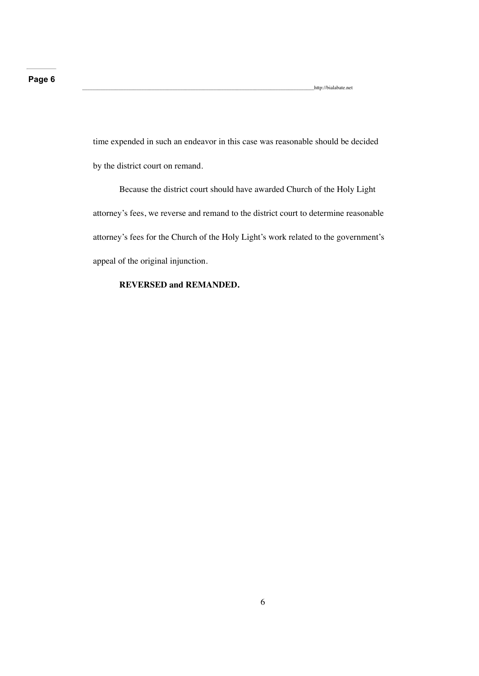\_\_\_\_\_\_\_\_\_\_\_\_\_\_\_\_\_\_\_\_\_\_\_\_\_\_\_\_\_\_\_\_\_\_\_\_\_\_\_\_\_\_\_\_\_\_\_\_\_\_\_\_\_\_\_\_\_\_\_\_\_\_\_\_\_\_\_\_\_\_\_\_\_\_\_\_\_\_\_\_\_\_\_\_\_\_\_\_\_\_http://bialabate.net

time expended in such an endeavor in this case was reasonable should be decided by the district court on remand.

Because the district court should have awarded Church of the Holy Light attorney's fees, we reverse and remand to the district court to determine reasonable attorney's fees for the Church of the Holy Light's work related to the government's appeal of the original injunction.

## **REVERSED and REMANDED.**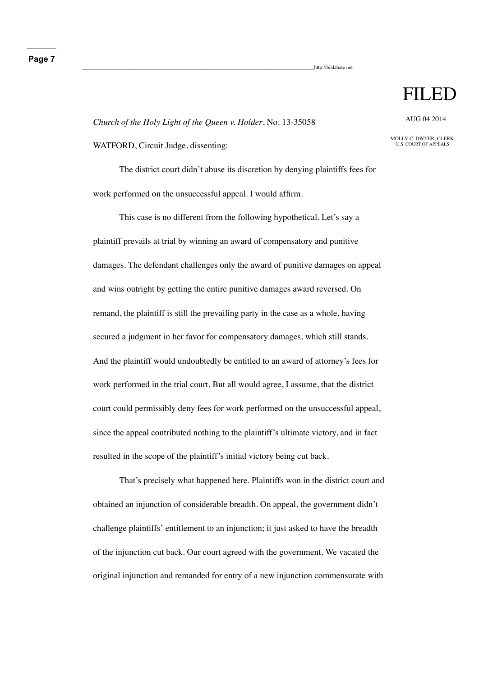## **Page 7**

http://bialabate.net

# FILED

*Church of the Holy Light of the Queen v. Holder*, No. 13-35058

WATFORD, Circuit Judge, dissenting:

The district court didn't abuse its discretion by denying plaintiffs fees for work performed on the unsuccessful appeal. I would affirm.

This case is no different from the following hypothetical. Let's say a plaintiff prevails at trial by winning an award of compensatory and punitive damages. The defendant challenges only the award of punitive damages on appeal and wins outright by getting the entire punitive damages award reversed. On remand, the plaintiff is still the prevailing party in the case as a whole, having secured a judgment in her favor for compensatory damages, which still stands. And the plaintiff would undoubtedly be entitled to an award of attorney's fees for work performed in the trial court. But all would agree, I assume, that the district court could permissibly deny fees for work performed on the unsuccessful appeal, since the appeal contributed nothing to the plaintiff's ultimate victory, and in fact resulted in the scope of the plaintiff's initial victory being cut back.

That's precisely what happened here. Plaintiffs won in the district court and obtained an injunction of considerable breadth. On appeal, the government didn't challenge plaintiffs' entitlement to an injunction; it just asked to have the breadth of the injunction cut back. Our court agreed with the government. We vacated the original injunction and remanded for entry of a new injunction commensurate with

AUG 04 2014

MOLLY C. DWYER, CLERK U.S. COURT OF APPEALS